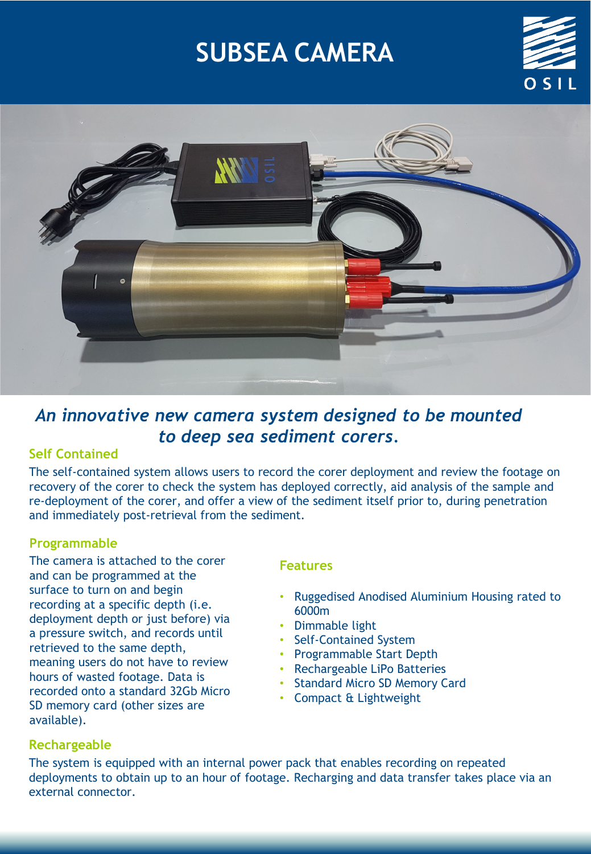# **SUBSEA CAMERA**





# *An innovative new camera system designed to be mounted to deep sea sediment corers.*

# **Self Contained**

The self-contained system allows users to record the corer deployment and review the footage on recovery of the corer to check the system has deployed correctly, aid analysis of the sample and re-deployment of the corer, and offer a view of the sediment itself prior to, during penetration and immediately post-retrieval from the sediment.

# **Programmable**

The camera is attached to the corer and can be programmed at the surface to turn on and begin recording at a specific depth (i.e. deployment depth or just before) via a pressure switch, and records until retrieved to the same depth, meaning users do not have to review hours of wasted footage. Data is recorded onto a standard 32Gb Micro SD memory card (other sizes are available).

#### **Features**

- Ruggedised Anodised Aluminium Housing rated to 6000m
- Dimmable light
- Self-Contained System
- Programmable Start Depth
- Rechargeable LiPo Batteries
- Standard Micro SD Memory Card
- Compact & Lightweight

#### **Rechargeable**

The system is equipped with an internal power pack that enables recording on repeated deployments to obtain up to an hour of footage. Recharging and data transfer takes place via an external connector.